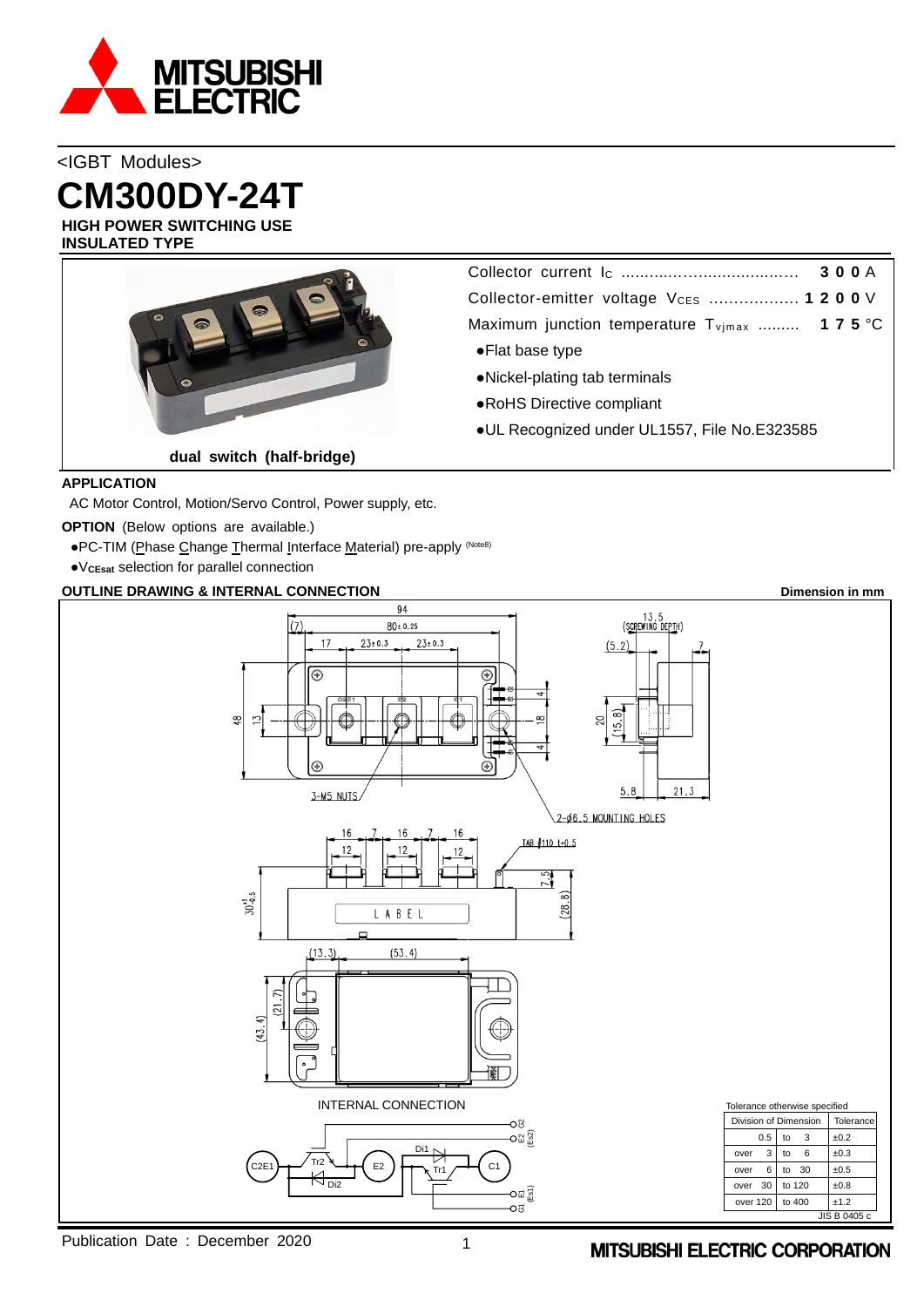

<IGBT Modules> **CM300DY-24T**

**HIGH POWER SWITCHING USE INSULATED TYPE**



Collector current I<sup>C</sup> .............…..................… **3 0 0** A Collector-emitter voltage VCES .................. **1 2 0 0** V Maximum junction temperature T<sub>vimax</sub> ......... **175** °C

- ●Flat base type
- ●Nickel-plating tab terminals
- ●RoHS Directive compliant
- ●UL Recognized under UL1557, File No.E323585

## **APPLICATION**

AC Motor Control, Motion/Servo Control, Power supply, etc.

**OPTION** (Below options are available.)

- ●PC-TIM (Phase Change Thermal Interface Material) pre-apply (Note8)
- ●V**CEsat** selection for parallel connection

# **OUTLINE DRAWING & INTERNAL CONNECTION Dimension in mm**



Publication Date : December 2020 1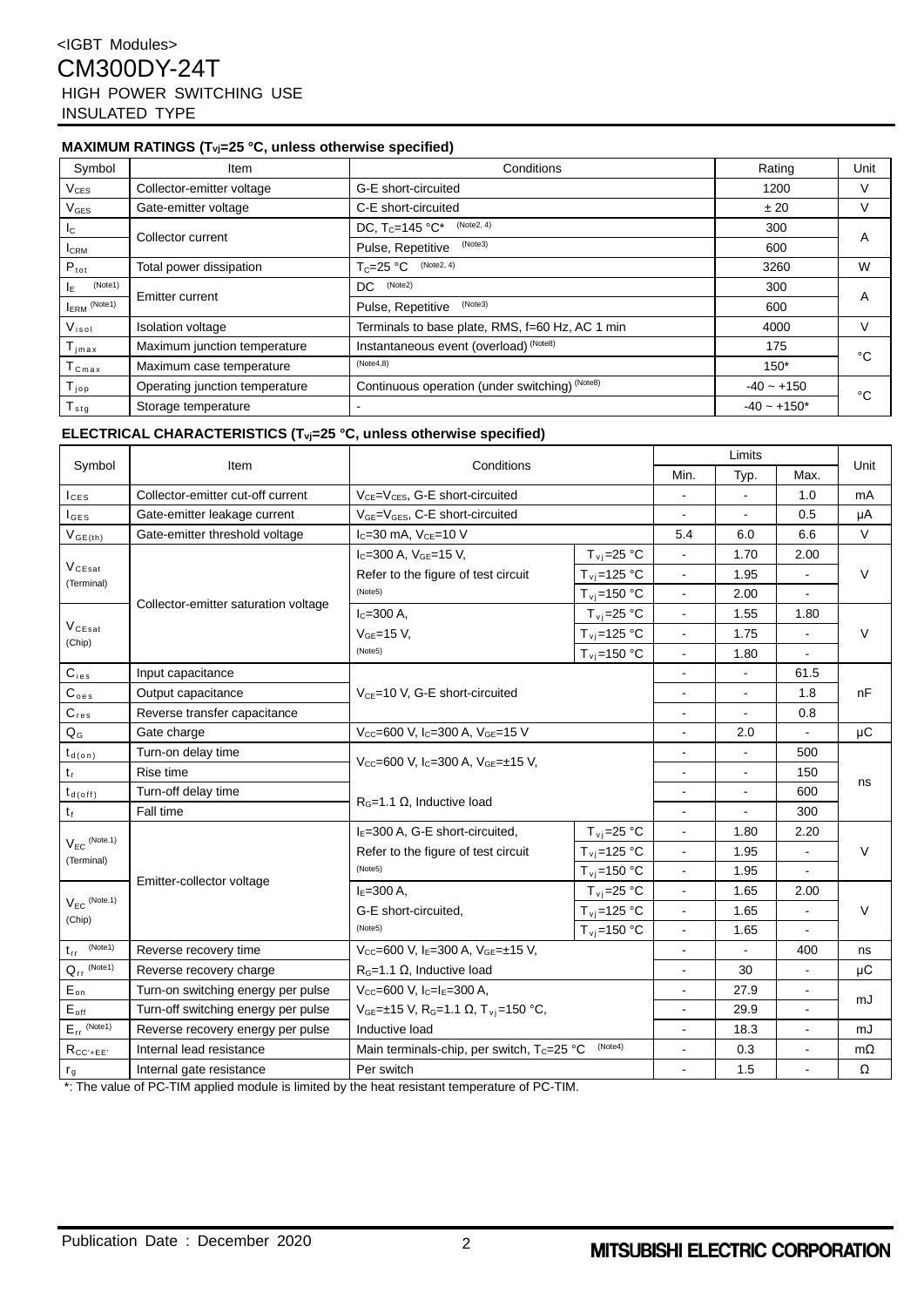## **MAXIMUM RATINGS (Tvj=25 °C, unless otherwise specified)**

| Symbol                      | Item                           | Conditions                                      | Rating        | Unit |  |
|-----------------------------|--------------------------------|-------------------------------------------------|---------------|------|--|
| $\rm V_{CES}$               | Collector-emitter voltage      | G-E short-circuited                             | 1200          | v    |  |
| $\mathsf{V}_{\mathsf{GES}}$ | Gate-emitter voltage           | C-E short-circuited                             | ± 20          | V    |  |
| Ic.                         |                                | (Note2, 4)<br>DC, $T_c = 145 °C^*$              | 300           |      |  |
| <b>I</b> CRM                | Collector current              | (Note3)<br>Pulse, Repetitive                    | 600           | A    |  |
| $P_{\text{tot}}$            | Total power dissipation        | (Note2, 4)<br>$T_c = 25 °C$                     | 3260          | W    |  |
| (Note1)<br>lE.              |                                | (Note2)<br>DC.                                  | 300           |      |  |
| <b>IERM</b> (Note1)         | Emitter current                | (Note3)<br>Pulse, Repetitive                    | 600           | A    |  |
| $V_{iso}$                   | <b>Isolation voltage</b>       | Terminals to base plate, RMS, f=60 Hz, AC 1 min | 4000          | V    |  |
| $T_{jmax}$                  | Maximum junction temperature   | Instantaneous event (overload) (Note8)          | 175           | °C   |  |
| ${\tt T_{Cmax}}$            | Maximum case temperature       | (Note4,8)                                       |               |      |  |
| $T_{\mathsf{jop}}$          | Operating junction temperature | Continuous operation (under switching) (Note8)  | $-40 - +150$  | °C   |  |
| $T_{\text{stg}}$            | Storage temperature            |                                                 | $-40 - +150*$ |      |  |

## **ELECTRICAL CHARACTERISTICS (Tvj=25 °C, unless otherwise specified)**

| Symbol                                  | Item                                 | Conditions                                                                   | Limits                               |                          |      | Unit           |           |
|-----------------------------------------|--------------------------------------|------------------------------------------------------------------------------|--------------------------------------|--------------------------|------|----------------|-----------|
|                                         |                                      |                                                                              |                                      | Min.                     | Typ. | Max.           |           |
| $I_{CES}$                               | Collector-emitter cut-off current    | V <sub>CE</sub> =V <sub>CES</sub> , G-E short-circuited                      |                                      |                          |      | 1.0            | mA        |
| $I_{\texttt{GES}}$                      | Gate-emitter leakage current         | V <sub>GE</sub> =V <sub>GES</sub> , C-E short-circuited                      |                                      |                          |      | 0.5            | μA        |
| $V_{GE(th)}$                            | Gate-emitter threshold voltage       | $I_{C}$ =30 mA, $V_{CE}$ =10 V                                               |                                      | 5.4                      | 6.0  | 6.6            | $\vee$    |
|                                         |                                      | $I_C = 300$ A, $V_{GE} = 15$ V,                                              | $T_{\rm vi}$ =25 °C                  | $\blacksquare$           | 1.70 | 2.00           | $\vee$    |
| $V_{CEsat}$<br>(Terminal)               |                                      | Refer to the figure of test circuit                                          | $T_{\rm vj}$ =125 °C                 | $\blacksquare$           | 1.95 |                |           |
|                                         | Collector-emitter saturation voltage | (Note5)                                                                      | $T_{\rm vj}$ =150 °C                 | $\blacksquare$           | 2.00 | ÷,             |           |
|                                         |                                      | $I_{C} = 300 A$ .                                                            | $T_{\rm vj}$ =25 °C                  | $\blacksquare$           | 1.55 | 1.80           |           |
| $\mathsf{V}_{\texttt{CEsat}}$<br>(Chip) |                                      | $VGE=15 V$ ,                                                                 | $T_{\rm vi}$ =125 °C                 | $\blacksquare$           | 1.75 |                | V         |
|                                         |                                      | (Note5)                                                                      | $T_{\rm vi}$ =150 °C                 | $\blacksquare$           | 1.80 | ä,             |           |
| $C_{\text{ies}}$                        | Input capacitance                    |                                                                              |                                      | $\overline{\phantom{0}}$ |      | 61.5           |           |
| C <sub>oes</sub>                        | Output capacitance                   | $V_{CE}$ =10 V, G-E short-circuited                                          |                                      |                          |      | 1.8            | nF        |
| $C_{res}$                               | Reverse transfer capacitance         |                                                                              |                                      | $\blacksquare$           |      | 0.8            |           |
| $Q_{G}$                                 | Gate charge                          | Vcc=600 V, Ic=300 A, VGE=15 V                                                |                                      |                          | 2.0  | $\blacksquare$ | μC        |
| $t_{d(on)}$                             | Turn-on delay time                   | Vcc=600 V, Ic=300 A, VGE=±15 V,                                              |                                      | ä,                       |      | 500            |           |
| $t_r$                                   | Rise time                            |                                                                              |                                      | $\blacksquare$           |      | 150            |           |
| $t_{d(\text{off})}$                     | Turn-off delay time                  |                                                                              |                                      | $\blacksquare$           | ÷.   | 600            | ns        |
| tŧ                                      | Fall time                            |                                                                              | $R_G$ =1.1 $\Omega$ , Inductive load |                          |      | 300            |           |
|                                         |                                      | $IE=300$ A, G-E short-circuited,                                             | $T_{\rm{v}i}$ =25 °C                 | $\blacksquare$           | 1.80 | 2.20           |           |
| $V_{EC}$ (Note.1)                       |                                      | Refer to the figure of test circuit                                          | $T_{\rm v}$ j=125 °C                 | $\blacksquare$           | 1.95 | ÷,             | V         |
| (Terminal)                              |                                      | (Note5)                                                                      | $T_{\rm vi}$ =150 °C                 | $\blacksquare$           | 1.95 |                |           |
|                                         | Emitter-collector voltage            | $IE=300 A$ ,                                                                 | $T_{\rm\,}$ =25 °C                   | $\blacksquare$           | 1.65 | 2.00           |           |
| $V_{EC}$ (Note.1)                       |                                      | G-E short-circuited,                                                         | $T_{\rm vj}$ =125 °C                 | $\blacksquare$           | 1.65 | $\overline{a}$ | V         |
| (Chip)                                  |                                      | (Note5)                                                                      | $T_{\rm vi}$ =150 °C                 | $\blacksquare$           | 1.65 |                |           |
| (Note1)<br>$t_{rr}$                     | Reverse recovery time                | Vcc=600 V, IE=300 A, VGE=±15 V,                                              |                                      | $\blacksquare$           |      | 400            | ns        |
| $Q_{rr}$ (Note1)                        | Reverse recovery charge              | $R_G$ =1.1 $\Omega$ , Inductive load                                         |                                      | $\blacksquare$           | 30   | L.             | μC        |
| $E_{on}$                                | Turn-on switching energy per pulse   | $V_{CC} = 600$ V, $I_C = I_E = 300$ A,                                       |                                      | $\sim$                   | 27.9 | $\blacksquare$ |           |
| $E_{\text{off}}$                        | Turn-off switching energy per pulse  | $V_{GE} = \pm 15$ V, R <sub>G</sub> =1.1 $\Omega$ , T <sub>vi</sub> =150 °C, |                                      | $\blacksquare$           | 29.9 | $\blacksquare$ | mJ        |
| $E_{rr}$ (Note1)                        | Reverse recovery energy per pulse    | Inductive load                                                               |                                      | $\blacksquare$           | 18.3 | $\blacksquare$ | mJ        |
| $R_{CC'+EE'}$                           | Internal lead resistance             | (Note4)<br>Main terminals-chip, per switch, Tc=25 °C                         |                                      | ÷.                       | 0.3  | L.             | $m\Omega$ |
| $r_g$                                   | Internal gate resistance             | Per switch                                                                   |                                      |                          | 1.5  |                | Ω         |

\*: The value of PC-TIM applied module is limited by the heat resistant temperature of PC-TIM.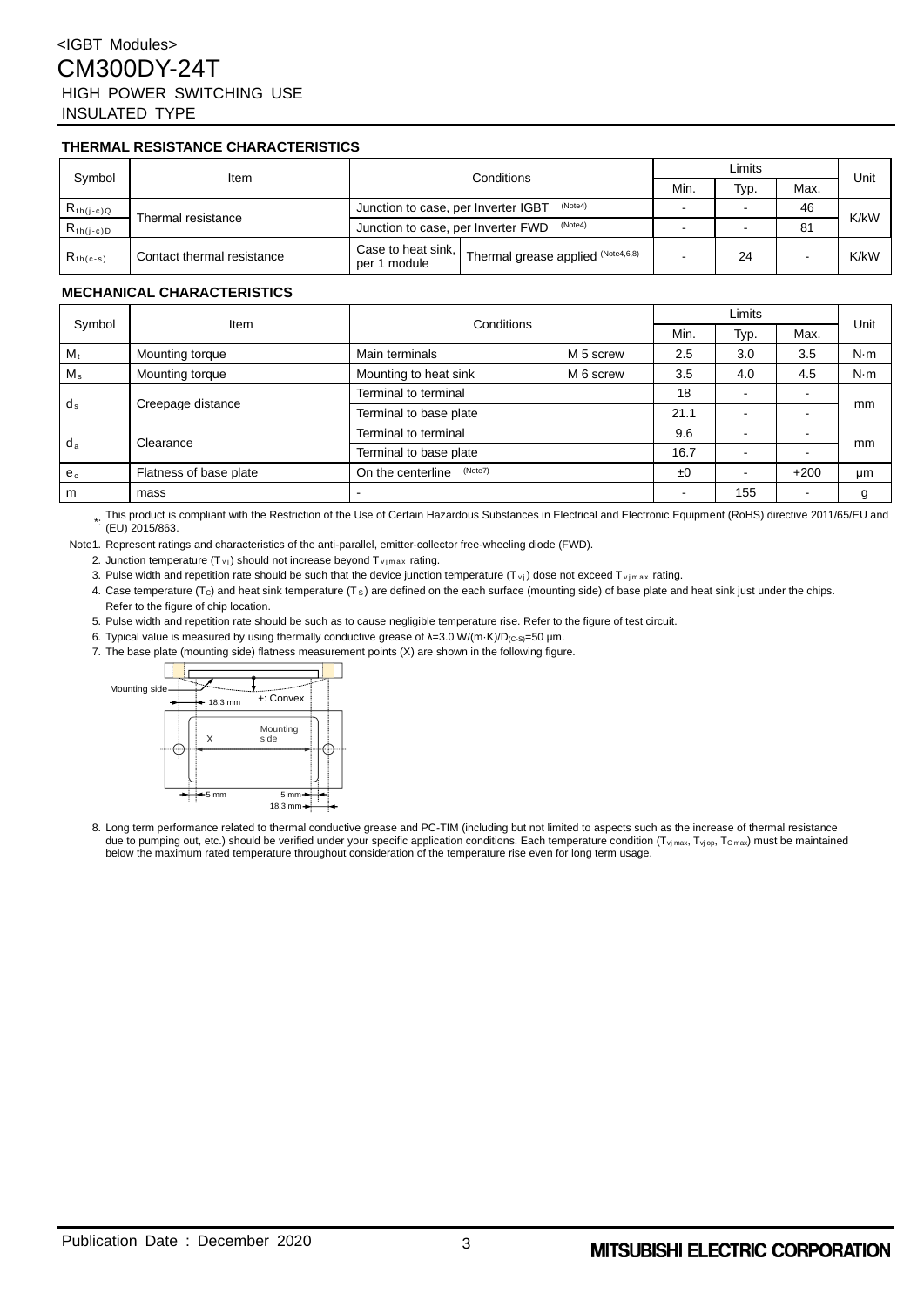# <IGBT Modules> CM300DY-24T HIGH POWER SWITCHING USE INSULATED TYPE

### **THERMAL RESISTANCE CHARACTERISTICS**

| Svmbol         | ltem                       | Conditions                                                                 | Limits |      |      | Unit |
|----------------|----------------------------|----------------------------------------------------------------------------|--------|------|------|------|
|                |                            |                                                                            | Min.   | Typ. | Max. |      |
| $R_{th(j-c)Q}$ |                            | (Note4)<br>Junction to case, per Inverter IGBT                             |        |      | 46   | K/kW |
| $R_{th(j-c)D}$ | Thermal resistance         | (Note4)<br>Junction to case, per Inverter FWD                              |        |      | 81   |      |
| $R_{th(c-s)}$  | Contact thermal resistance | Case to heat sink, Thermal grease applied $(N^{O164,6,8})$<br>per 1 module |        | 24   |      | K/kW |

#### **MECHANICAL CHARACTERISTICS**

| Symbol      | Item                   | Conditions                   |           | Limits                   |                          |        |             |
|-------------|------------------------|------------------------------|-----------|--------------------------|--------------------------|--------|-------------|
|             |                        |                              |           | Min.                     | Typ.                     | Max.   | Unit        |
| $M_t$       | Mounting torque        | Main terminals               | M 5 screw | 2.5                      | 3.0                      | 3.5    | $N \cdot m$ |
| $M_{\rm s}$ | Mounting torque        | Mounting to heat sink        | M 6 screw | 3.5                      | 4.0                      | 4.5    | $N \cdot m$ |
| $d_s$       | Creepage distance      | Terminal to terminal         |           | 18                       |                          |        | mm          |
|             |                        | Terminal to base plate       |           | 21.1                     |                          |        |             |
| $d_a$       | Clearance              | Terminal to terminal         |           | 9.6                      |                          |        |             |
|             |                        | Terminal to base plate       |           | 16.7                     |                          |        | mm          |
| $e_c$       | Flatness of base plate | (Note7)<br>On the centerline |           | ±0                       | $\overline{\phantom{0}}$ | $+200$ | μm          |
| m           | mass                   |                              |           | $\overline{\phantom{0}}$ | 155                      | -      |             |

\*. This product is compliant with the Restriction of the Use of Certain Hazardous Substances in Electrical and Electronic Equipment (RoHS) directive 2011/65/EU and<br>໋ (EU) 2015/863.

Note1. Represent ratings and characteristics of the anti-parallel, emitter-collector free-wheeling diode (FWD).

2. Junction temperature  $(T_{\nu j})$  should not increase beyond  $T_{\nu j max}$  rating.

3. Pulse width and repetition rate should be such that the device junction temperature  $(T_{\rm vi})$  dose not exceed  $T_{\rm vimax}$  rating.

4. Case temperature ( $T_c$ ) and heat sink temperature ( $T_s$ ) are defined on the each surface (mounting side) of base plate and heat sink just under the chips. Refer to the figure of chip location.

5. Pulse width and repetition rate should be such as to cause negligible temperature rise. Refer to the figure of test circuit.

6. Typical value is measured by using thermally conductive grease of λ=3.0 W/(m·K)/D<sub>(C-S)</sub>=50 μm.

7. The base plate (mounting side) flatness measurement points (X) are shown in the following figure.



8. Long term performance related to thermal conductive grease and PC-TIM (including but not limited to aspects such as the increase of thermal resistance due to pumping out, etc.) should be verified under your specific application conditions. Each temperature condition  $(T_{\text{Vj max}}, T_{\text{Vj opt}}, T_{\text{C max}})$  must be maintained below the maximum rated temperature throughout consideration of the temperature rise even for long term usage.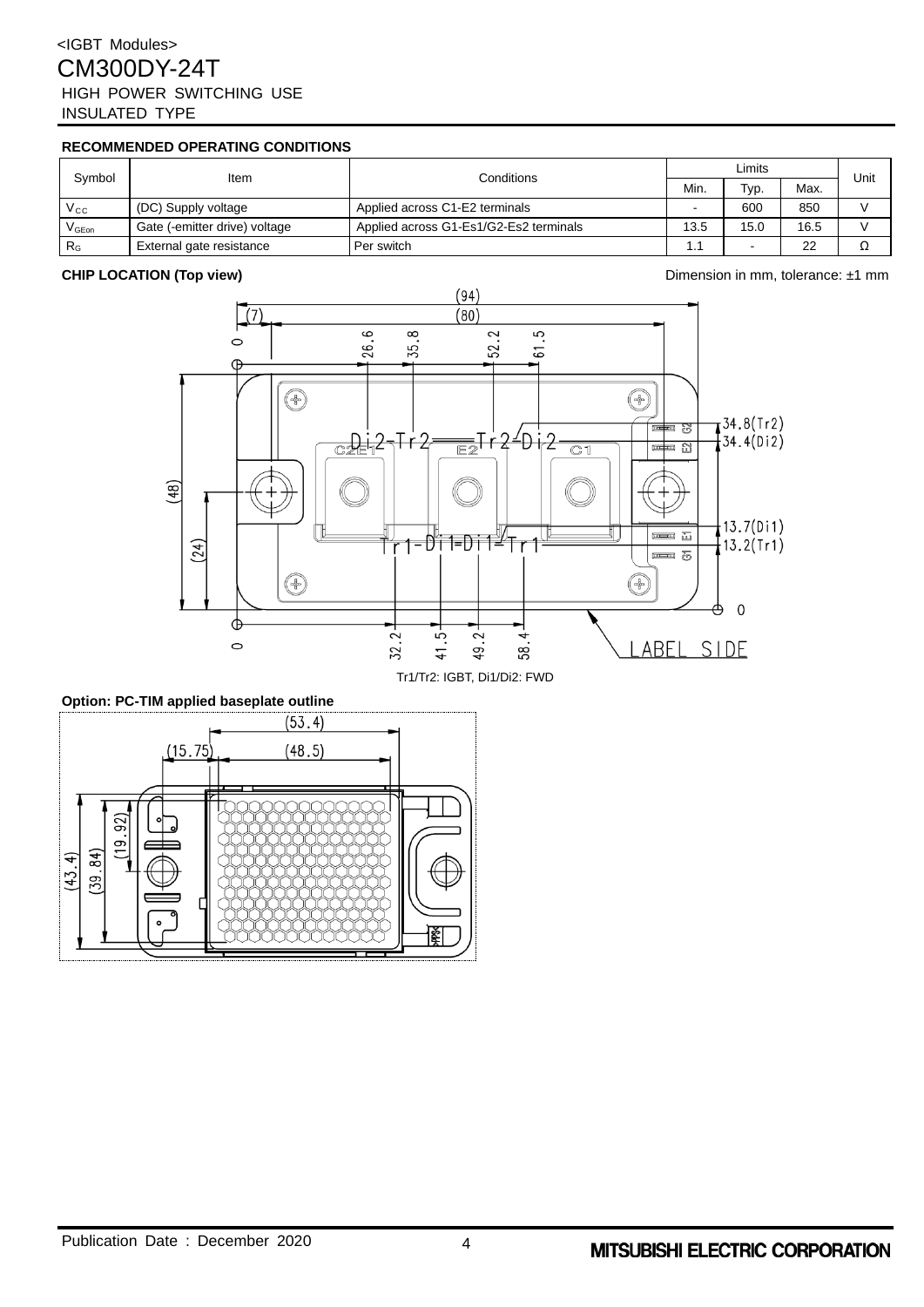# <IGBT Modules> CM300DY-24T HIGH POWER SWITCHING USE INSULATED TYPE

# **RECOMMENDED OPERATING CONDITIONS**

| Svmbol                                         | Item                          | Conditions                             | Limits |                          |      | Unit |
|------------------------------------------------|-------------------------------|----------------------------------------|--------|--------------------------|------|------|
|                                                |                               |                                        | Min.   | Typ.                     | Max. |      |
| $V_{\rm CC}$                                   | (DC) Supply voltage           | Applied across C1-E2 terminals         |        | 600                      | 850  |      |
| $\mathsf{V}_{\mathsf{G}\mathsf{E}\mathsf{on}}$ | Gate (-emitter drive) voltage | Applied across G1-Es1/G2-Es2 terminals | 13.5   | 15.0                     | 16.5 |      |
| R <sub>G</sub>                                 | External gate resistance      | Per switch                             |        | $\overline{\phantom{0}}$ | 22   |      |



### **Option: PC-TIM applied baseplate outline**



## **CHIP LOCATION (Top view)** Dimension in mm, tolerance: ±1 mm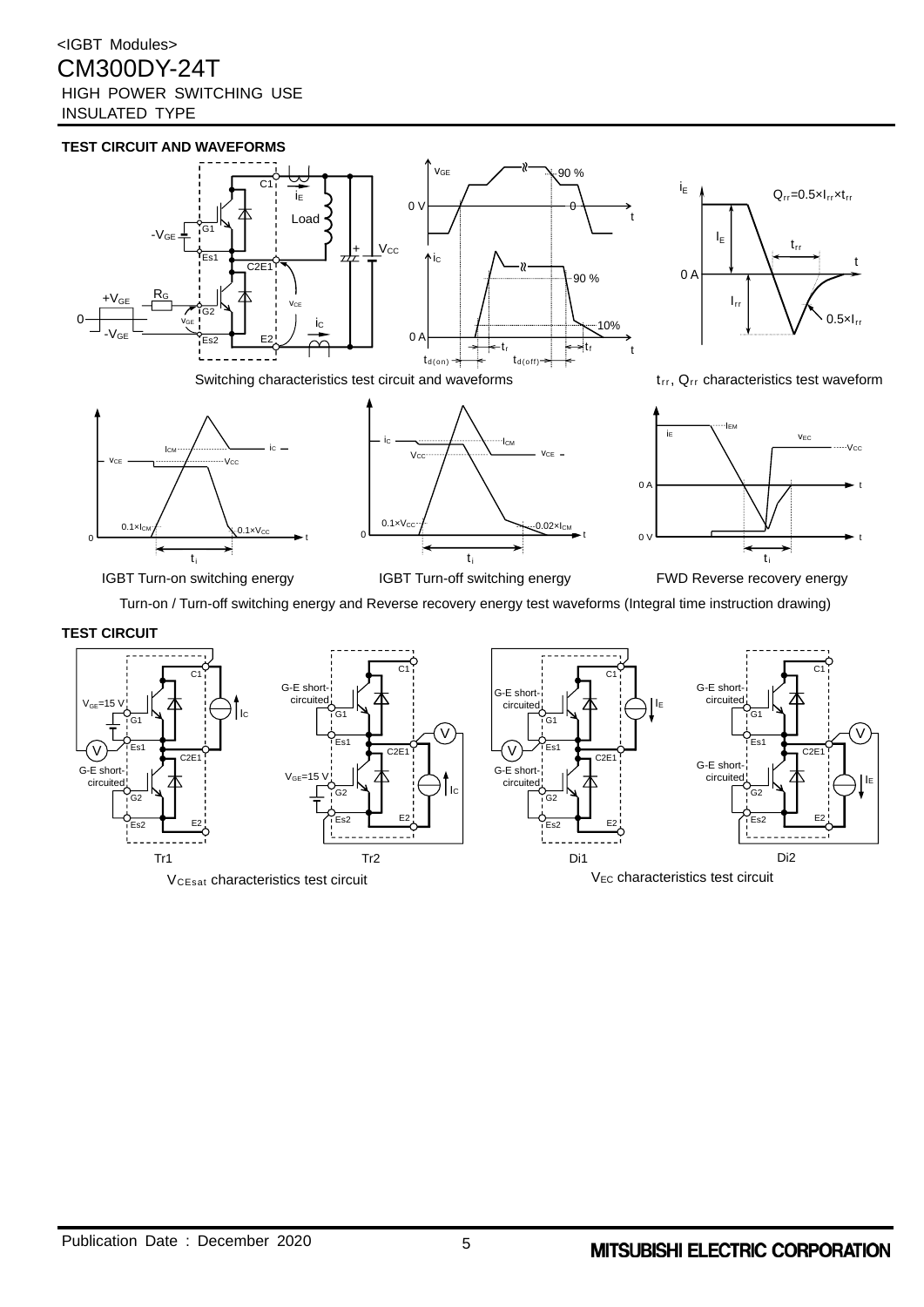# <IGBT Modules> CM300DY-24T HIGH POWER SWITCHING USE INSULATED TYPE





IGBT Turn-on switching energy **IGBT Turn-off switching energy** FWD Reverse recovery energy

Turn-on / Turn-off switching energy and Reverse recovery energy test waveforms (Integral time instruction drawing)

# **TEST CIRCUIT**

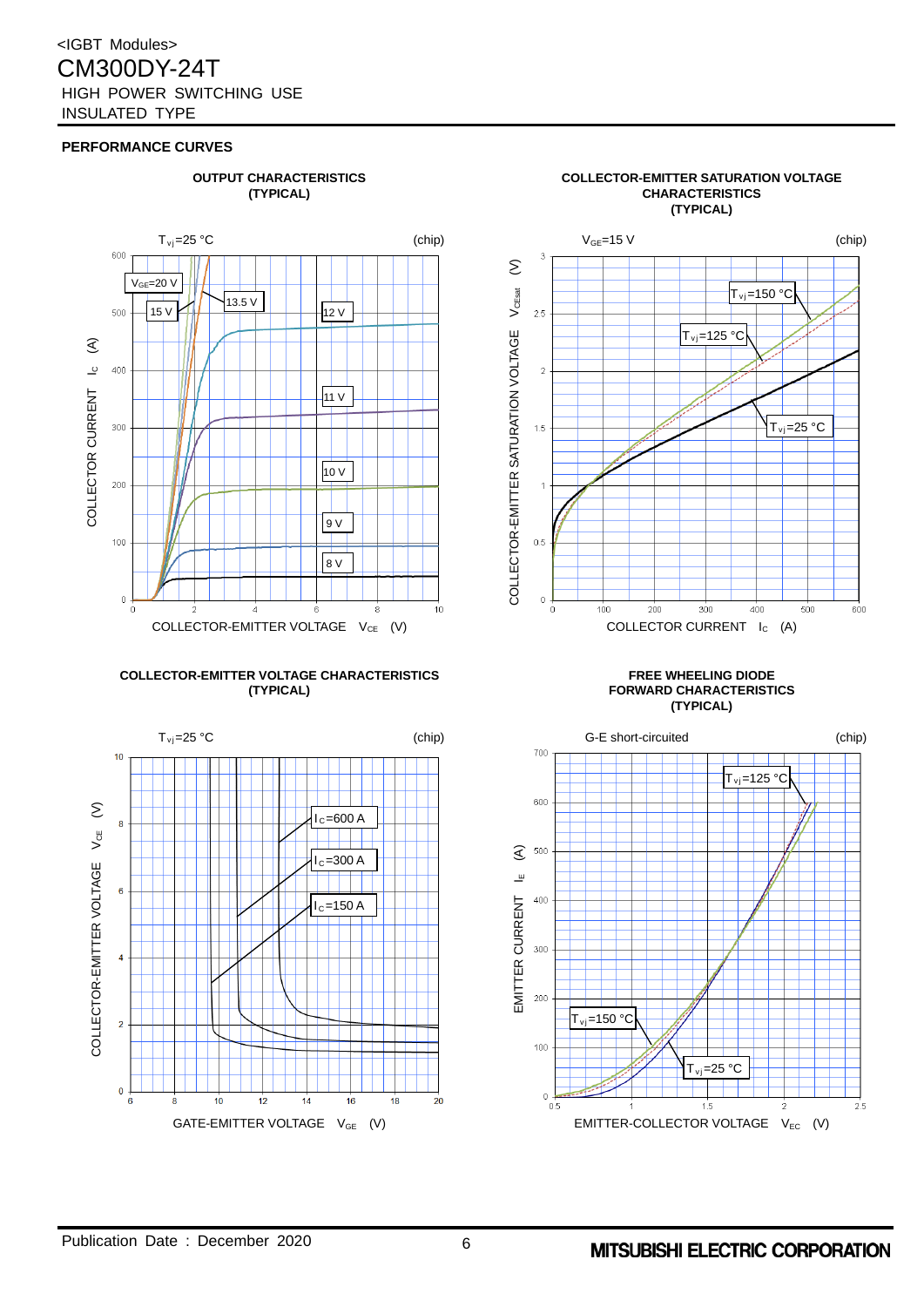

# **COLLECTOR-EMITTER VOLTAGE CHARACTERISTICS FREE WHEELING DIODE**





# **(TYPICAL) FORWARD CHARACTERISTICS (TYPICAL)**



# **OUTPUT CHARACTERISTICS COLLECTOR-EMITTER SATURATION VOLTAGE (TYPICAL) CHARACTERISTICS**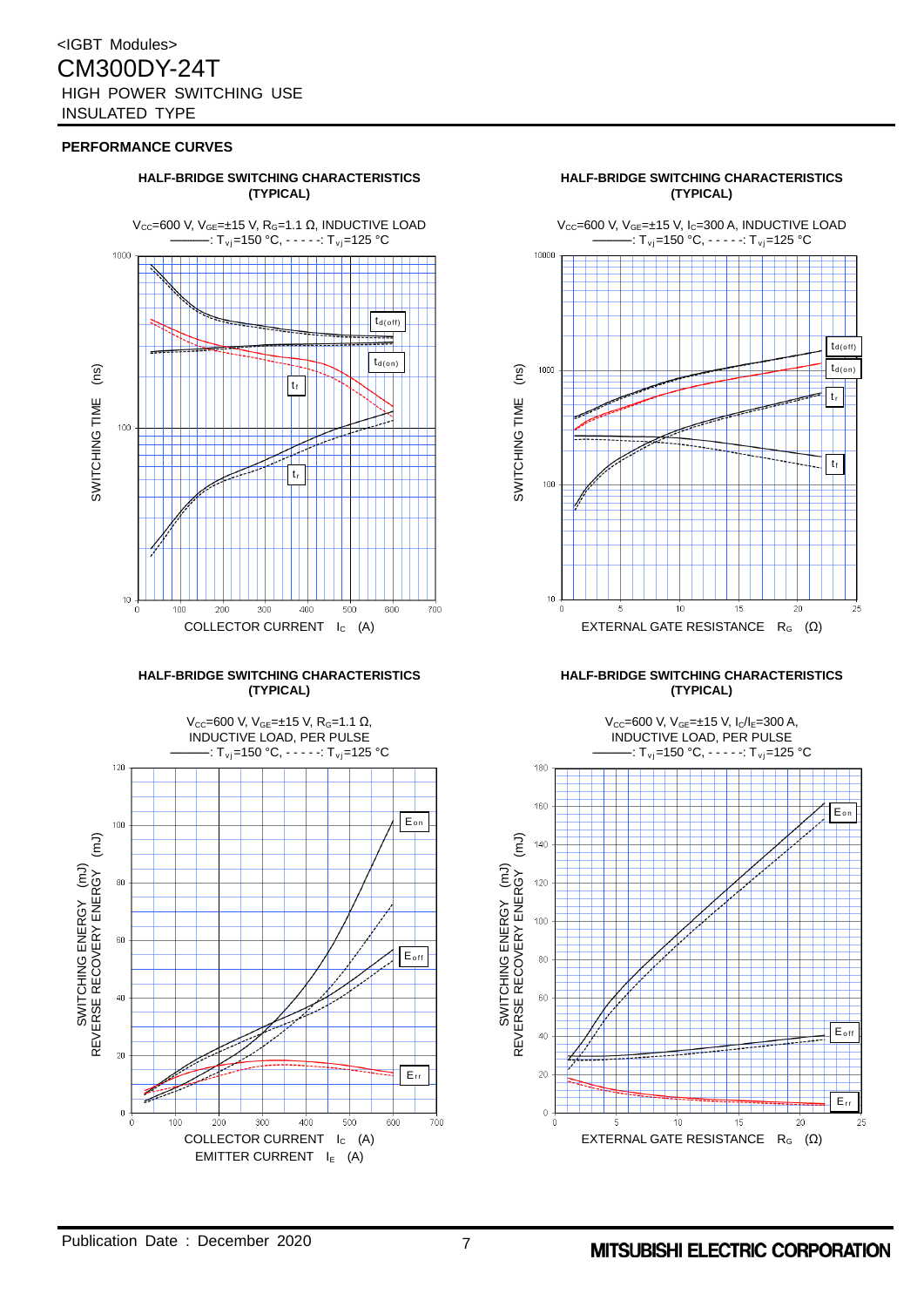

# **(TYPICAL) (TYPICAL)**



# **(TYPICAL) (TYPICAL)**

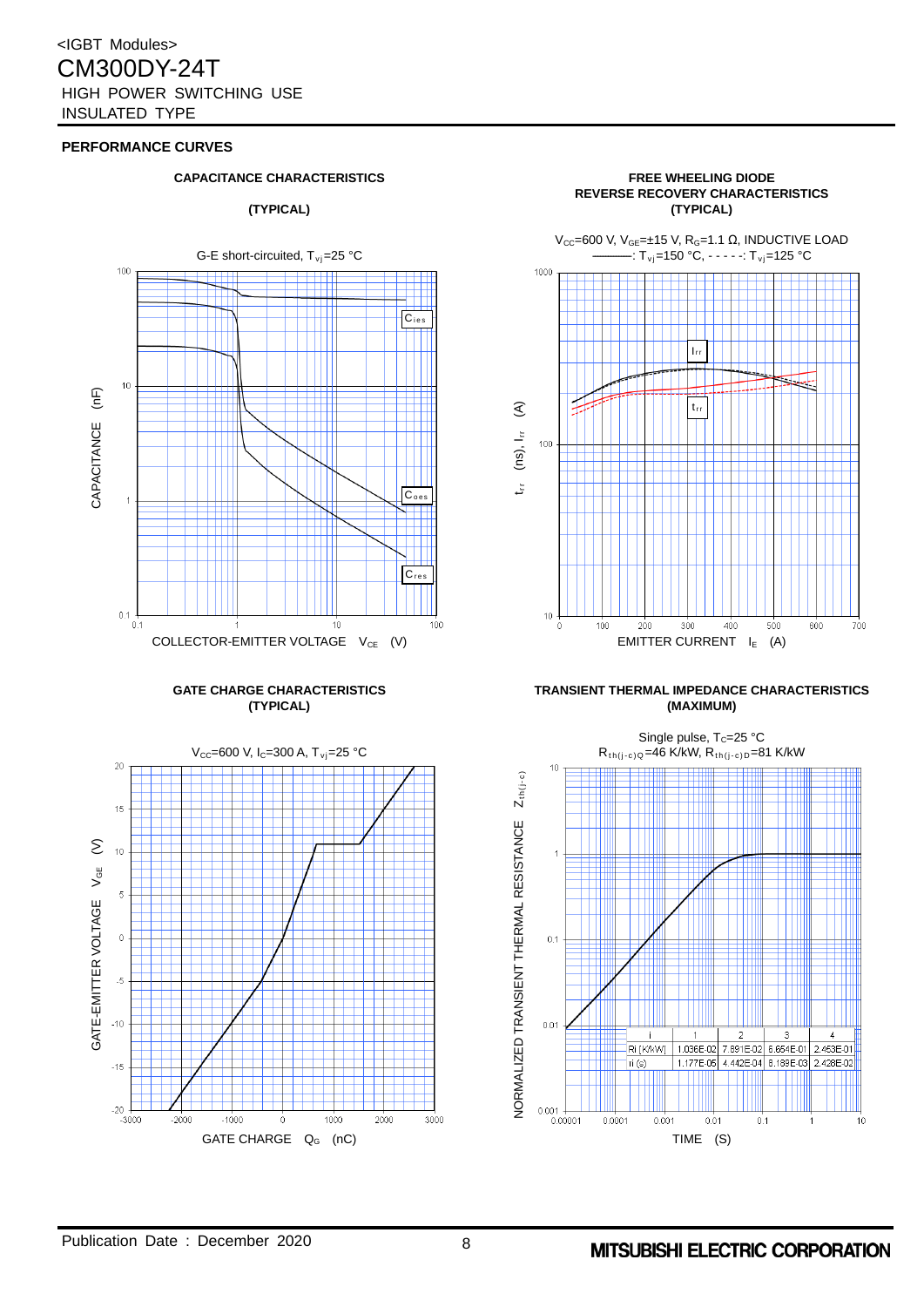







#### **GATE CHARGE CHARACTERISTICS TRANSIENT THERMAL IMPEDANCE CHARACTERISTICS (TYPICAL) (MAXIMUM)**

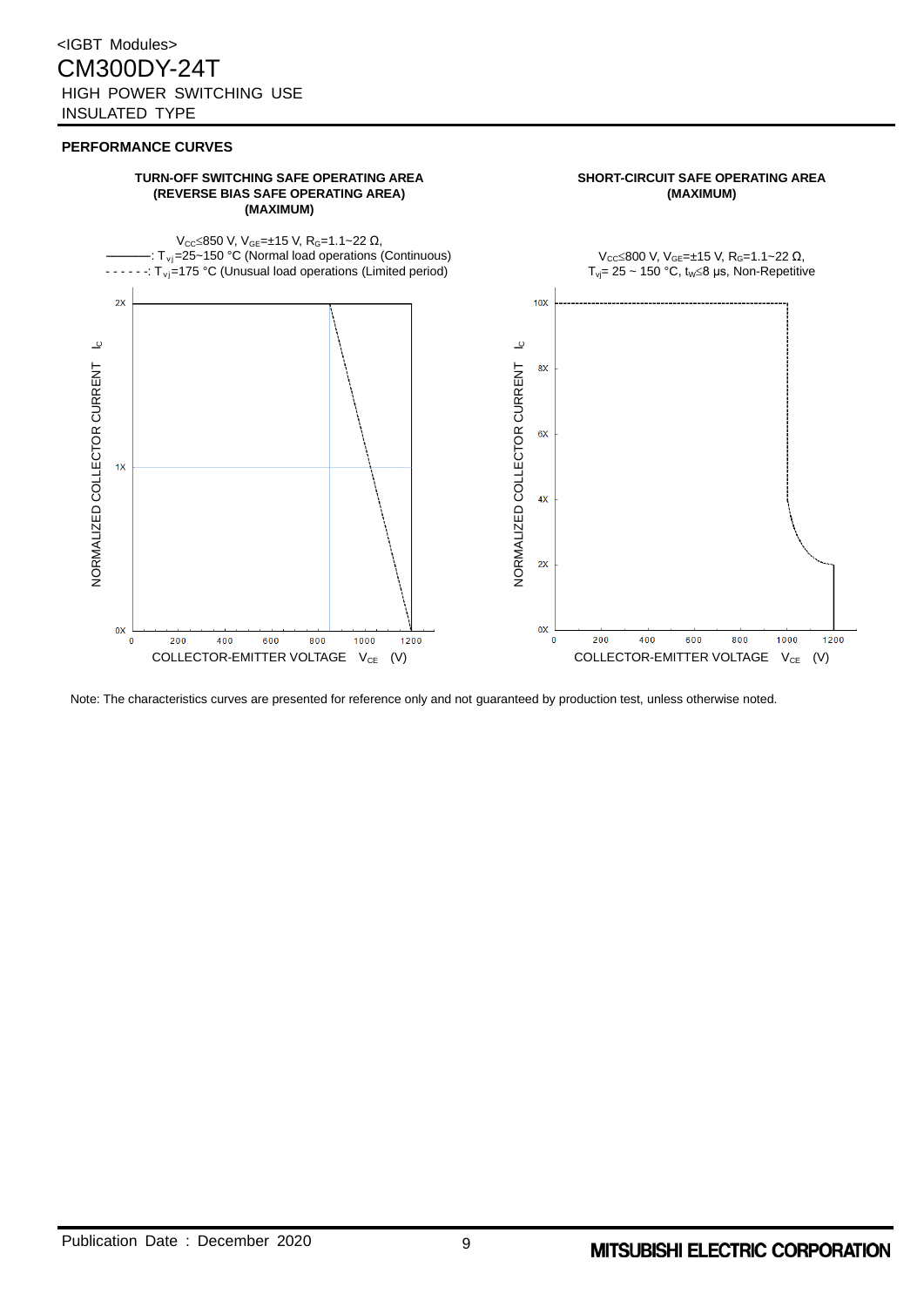#### **TURN-OFF SWITCHING SAFE OPERATING AREA SHORT-CIRCUIT SAFE OPERATING AREA (REVERSE BIAS SAFE OPERATING AREA) (MAXIMUM)**



Note: The characteristics curves are presented for reference only and not guaranteed by production test, unless otherwise noted.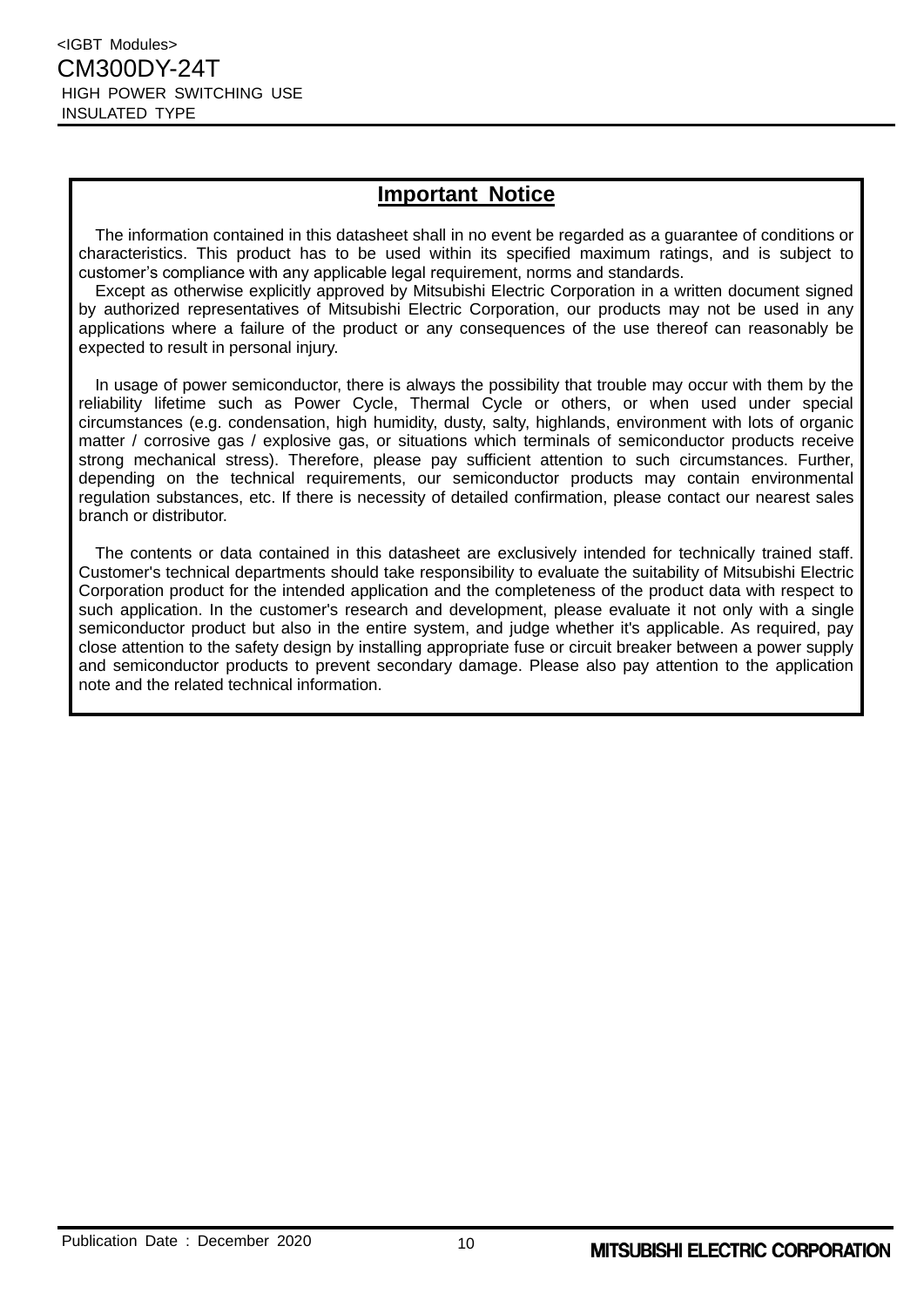# **Important Notice**

The information contained in this datasheet shall in no event be regarded as a guarantee of conditions or characteristics. This product has to be used within its specified maximum ratings, and is subject to customer's compliance with any applicable legal requirement, norms and standards.

Except as otherwise explicitly approved by Mitsubishi Electric Corporation in a written document signed by authorized representatives of Mitsubishi Electric Corporation, our products may not be used in any applications where a failure of the product or any consequences of the use thereof can reasonably be expected to result in personal injury.

In usage of power semiconductor, there is always the possibility that trouble may occur with them by the reliability lifetime such as Power Cycle, Thermal Cycle or others, or when used under special circumstances (e.g. condensation, high humidity, dusty, salty, highlands, environment with lots of organic matter / corrosive gas / explosive gas, or situations which terminals of semiconductor products receive strong mechanical stress). Therefore, please pay sufficient attention to such circumstances. Further, depending on the technical requirements, our semiconductor products may contain environmental regulation substances, etc. If there is necessity of detailed confirmation, please contact our nearest sales branch or distributor.

The contents or data contained in this datasheet are exclusively intended for technically trained staff. Customer's technical departments should take responsibility to evaluate the suitability of Mitsubishi Electric Corporation product for the intended application and the completeness of the product data with respect to such application. In the customer's research and development, please evaluate it not only with a single semiconductor product but also in the entire system, and judge whether it's applicable. As required, pay close attention to the safety design by installing appropriate fuse or circuit breaker between a power supply and semiconductor products to prevent secondary damage. Please also pay attention to the application note and the related technical information.